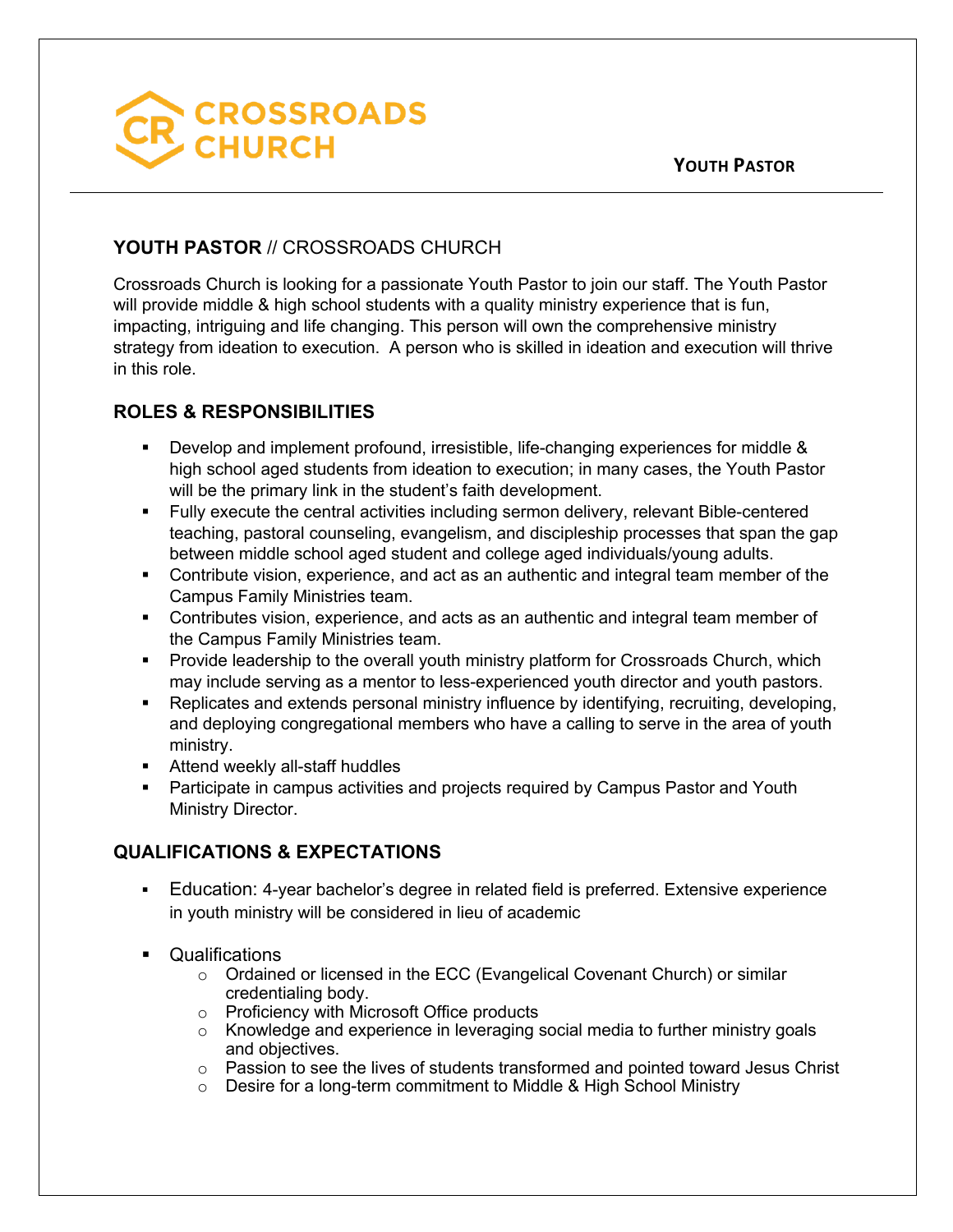

## **YOUTH PASTOR** // CROSSROADS CHURCH

Crossroads Church is looking for a passionate Youth Pastor to join our staff. The Youth Pastor will provide middle & high school students with a quality ministry experience that is fun, impacting, intriguing and life changing. This person will own the comprehensive ministry strategy from ideation to execution. A person who is skilled in ideation and execution will thrive in this role.

## **ROLES & RESPONSIBILITIES**

- § Develop and implement profound, irresistible, life-changing experiences for middle & high school aged students from ideation to execution; in many cases, the Youth Pastor will be the primary link in the student's faith development.
- § Fully execute the central activities including sermon delivery, relevant Bible-centered teaching, pastoral counseling, evangelism, and discipleship processes that span the gap between middle school aged student and college aged individuals/young adults.
- Contribute vision, experience, and act as an authentic and integral team member of the Campus Family Ministries team.
- § Contributes vision, experience, and acts as an authentic and integral team member of the Campus Family Ministries team.
- Provide leadership to the overall youth ministry platform for Crossroads Church, which may include serving as a mentor to less-experienced youth director and youth pastors.
- Replicates and extends personal ministry influence by identifying, recruiting, developing, and deploying congregational members who have a calling to serve in the area of youth ministry.
- Attend weekly all-staff huddles
- Participate in campus activities and projects required by Campus Pastor and Youth Ministry Director.

## **QUALIFICATIONS & EXPECTATIONS**

- Education: 4-year bachelor's degree in related field is preferred. Extensive experience in youth ministry will be considered in lieu of academic
- Qualifications
	- o Ordained or licensed in the ECC (Evangelical Covenant Church) or similar credentialing body.
	- o Proficiency with Microsoft Office products
	- o Knowledge and experience in leveraging social media to further ministry goals and objectives.
	- o Passion to see the lives of students transformed and pointed toward Jesus Christ
	- o Desire for a long-term commitment to Middle & High School Ministry